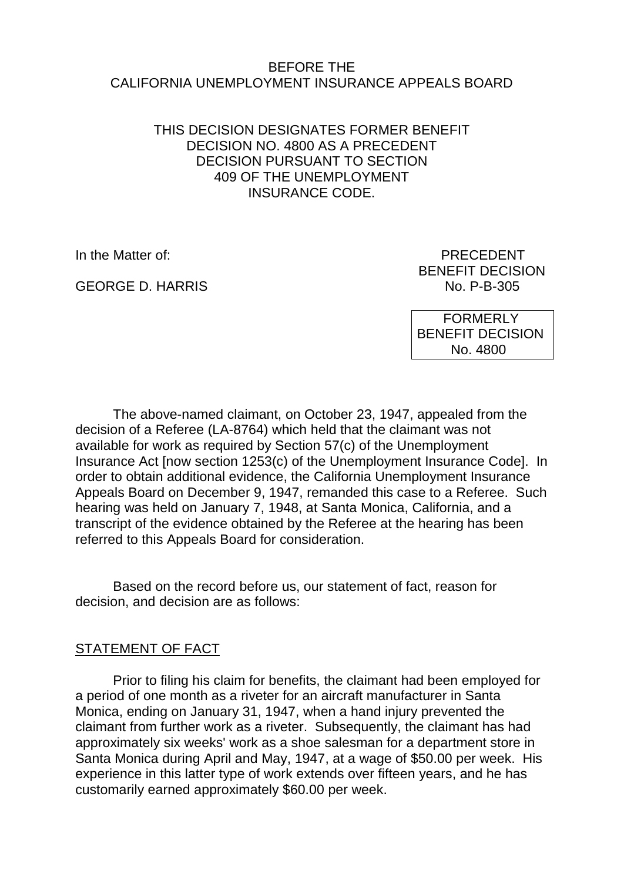### BEFORE THE CALIFORNIA UNEMPLOYMENT INSURANCE APPEALS BOARD

### THIS DECISION DESIGNATES FORMER BENEFIT DECISION NO. 4800 AS A PRECEDENT DECISION PURSUANT TO SECTION 409 OF THE UNEMPLOYMENT INSURANCE CODE.

GEORGE D. HARRIS NO. P-B-305

In the Matter of: **PRECEDENT** BENEFIT DECISION

> FORMERLY BENEFIT DECISION No. 4800

The above-named claimant, on October 23, 1947, appealed from the decision of a Referee (LA-8764) which held that the claimant was not available for work as required by Section 57(c) of the Unemployment Insurance Act [now section 1253(c) of the Unemployment Insurance Code]. In order to obtain additional evidence, the California Unemployment Insurance Appeals Board on December 9, 1947, remanded this case to a Referee. Such hearing was held on January 7, 1948, at Santa Monica, California, and a transcript of the evidence obtained by the Referee at the hearing has been referred to this Appeals Board for consideration.

Based on the record before us, our statement of fact, reason for decision, and decision are as follows:

## STATEMENT OF FACT

Prior to filing his claim for benefits, the claimant had been employed for a period of one month as a riveter for an aircraft manufacturer in Santa Monica, ending on January 31, 1947, when a hand injury prevented the claimant from further work as a riveter. Subsequently, the claimant has had approximately six weeks' work as a shoe salesman for a department store in Santa Monica during April and May, 1947, at a wage of \$50.00 per week. His experience in this latter type of work extends over fifteen years, and he has customarily earned approximately \$60.00 per week.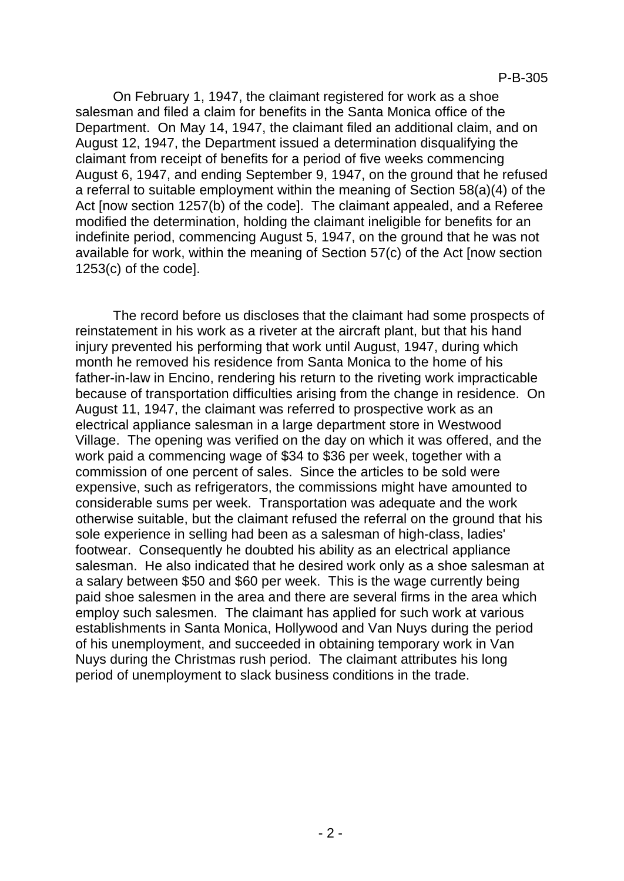On February 1, 1947, the claimant registered for work as a shoe salesman and filed a claim for benefits in the Santa Monica office of the Department. On May 14, 1947, the claimant filed an additional claim, and on August 12, 1947, the Department issued a determination disqualifying the claimant from receipt of benefits for a period of five weeks commencing August 6, 1947, and ending September 9, 1947, on the ground that he refused a referral to suitable employment within the meaning of Section 58(a)(4) of the Act [now section 1257(b) of the code]. The claimant appealed, and a Referee modified the determination, holding the claimant ineligible for benefits for an indefinite period, commencing August 5, 1947, on the ground that he was not available for work, within the meaning of Section 57(c) of the Act [now section 1253(c) of the code].

The record before us discloses that the claimant had some prospects of reinstatement in his work as a riveter at the aircraft plant, but that his hand injury prevented his performing that work until August, 1947, during which month he removed his residence from Santa Monica to the home of his father-in-law in Encino, rendering his return to the riveting work impracticable because of transportation difficulties arising from the change in residence. On August 11, 1947, the claimant was referred to prospective work as an electrical appliance salesman in a large department store in Westwood Village. The opening was verified on the day on which it was offered, and the work paid a commencing wage of \$34 to \$36 per week, together with a commission of one percent of sales. Since the articles to be sold were expensive, such as refrigerators, the commissions might have amounted to considerable sums per week. Transportation was adequate and the work otherwise suitable, but the claimant refused the referral on the ground that his sole experience in selling had been as a salesman of high-class, ladies' footwear. Consequently he doubted his ability as an electrical appliance salesman. He also indicated that he desired work only as a shoe salesman at a salary between \$50 and \$60 per week. This is the wage currently being paid shoe salesmen in the area and there are several firms in the area which employ such salesmen. The claimant has applied for such work at various establishments in Santa Monica, Hollywood and Van Nuys during the period of his unemployment, and succeeded in obtaining temporary work in Van Nuys during the Christmas rush period. The claimant attributes his long period of unemployment to slack business conditions in the trade.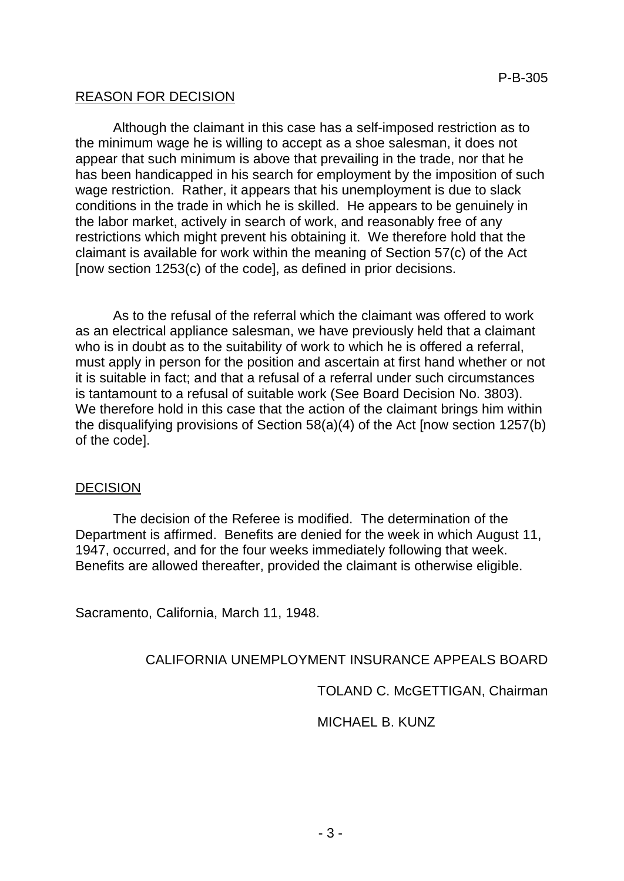# REASON FOR DECISION

Although the claimant in this case has a self-imposed restriction as to the minimum wage he is willing to accept as a shoe salesman, it does not appear that such minimum is above that prevailing in the trade, nor that he has been handicapped in his search for employment by the imposition of such wage restriction. Rather, it appears that his unemployment is due to slack conditions in the trade in which he is skilled. He appears to be genuinely in the labor market, actively in search of work, and reasonably free of any restrictions which might prevent his obtaining it. We therefore hold that the claimant is available for work within the meaning of Section 57(c) of the Act [now section 1253(c) of the code], as defined in prior decisions.

As to the refusal of the referral which the claimant was offered to work as an electrical appliance salesman, we have previously held that a claimant who is in doubt as to the suitability of work to which he is offered a referral, must apply in person for the position and ascertain at first hand whether or not it is suitable in fact; and that a refusal of a referral under such circumstances is tantamount to a refusal of suitable work (See Board Decision No. 3803). We therefore hold in this case that the action of the claimant brings him within the disqualifying provisions of Section 58(a)(4) of the Act [now section 1257(b) of the code].

### DECISION

The decision of the Referee is modified. The determination of the Department is affirmed. Benefits are denied for the week in which August 11, 1947, occurred, and for the four weeks immediately following that week. Benefits are allowed thereafter, provided the claimant is otherwise eligible.

Sacramento, California, March 11, 1948.

## CALIFORNIA UNEMPLOYMENT INSURANCE APPEALS BOARD

TOLAND C. McGETTIGAN, Chairman

MICHAEL B. KUNZ